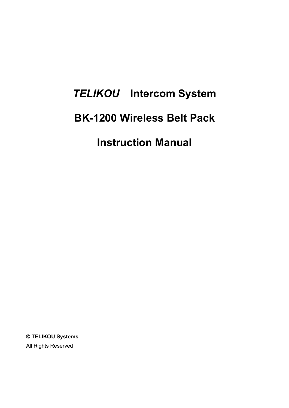# *TELIKOU* **Intercom System BK-1200 Wireless Belt Pack Instruction Manual**

**© TELIKOU Systems** All Rights Reserved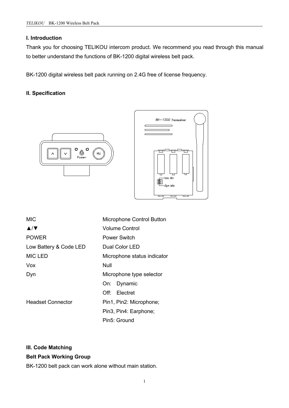#### **I. Introduction**

Thank you for choosing TELIKOU intercom product. We recommend you read through this manual to better understand the functions of BK-1200 digital wireless belt pack.

BK-1200 digital wireless belt pack running on 2.4G free of license frequency.

## **II. Specification**





| <b>MIC</b>                          | Microphone Control Button    |
|-------------------------------------|------------------------------|
| $\blacktriangle/\blacktriangledown$ | <b>Volume Control</b>        |
| <b>POWER</b>                        | <b>Power Switch</b>          |
| Low Battery & Code LED              | Dual Color LED               |
| <b>MIC LED</b>                      | Microphone status indicator  |
| <b>Vox</b>                          | Null                         |
| Dyn                                 | Microphone type selector     |
|                                     | Dynamic<br>On:               |
|                                     | Electret<br>$\mathsf{Off}$ : |
| <b>Headset Connector</b>            | Pin1, Pin2: Microphone;      |
|                                     | Pin3, Pin4: Earphone;        |
|                                     | Pin5: Ground                 |

#### **III. Code Matching**

#### **Belt Pack Working Group**

BK-1200 belt pack can work alone without main station.